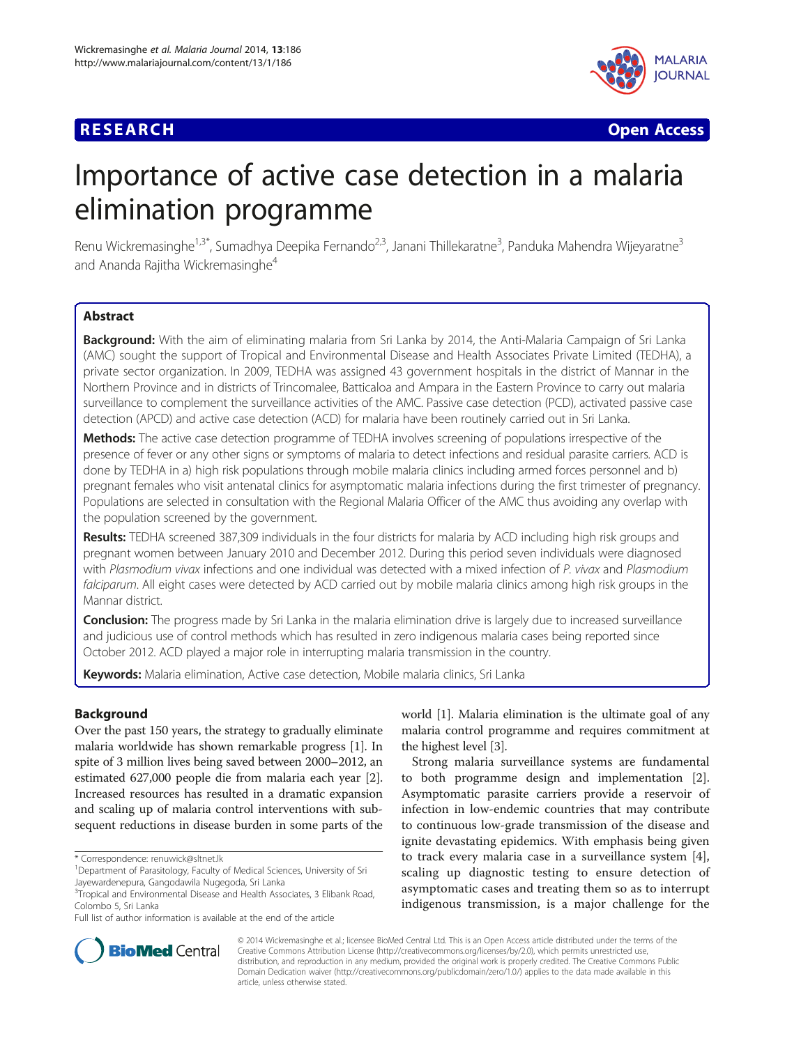## **RESEARCH CHEAR CHEAR CHEAR CHEAR CHEAR CHEAR CHEAR CHEAR CHEAR CHEAR CHEAR CHEAR CHEAR CHEAR CHEAR CHEAR CHEAR**



# Importance of active case detection in a malaria elimination programme

Renu Wickremasinghe<sup>1,3\*</sup>, Sumadhya Deepika Fernando<sup>2,3</sup>, Janani Thillekaratne<sup>3</sup>, Panduka Mahendra Wijeyaratne<sup>3</sup> and Ananda Rajitha Wickremasinghe<sup>4</sup>

## **Abstract**

Background: With the aim of eliminating malaria from Sri Lanka by 2014, the Anti-Malaria Campaign of Sri Lanka (AMC) sought the support of Tropical and Environmental Disease and Health Associates Private Limited (TEDHA), a private sector organization. In 2009, TEDHA was assigned 43 government hospitals in the district of Mannar in the Northern Province and in districts of Trincomalee, Batticaloa and Ampara in the Eastern Province to carry out malaria surveillance to complement the surveillance activities of the AMC. Passive case detection (PCD), activated passive case detection (APCD) and active case detection (ACD) for malaria have been routinely carried out in Sri Lanka.

Methods: The active case detection programme of TEDHA involves screening of populations irrespective of the presence of fever or any other signs or symptoms of malaria to detect infections and residual parasite carriers. ACD is done by TEDHA in a) high risk populations through mobile malaria clinics including armed forces personnel and b) pregnant females who visit antenatal clinics for asymptomatic malaria infections during the first trimester of pregnancy. Populations are selected in consultation with the Regional Malaria Officer of the AMC thus avoiding any overlap with the population screened by the government.

Results: TEDHA screened 387,309 individuals in the four districts for malaria by ACD including high risk groups and pregnant women between January 2010 and December 2012. During this period seven individuals were diagnosed with Plasmodium vivax infections and one individual was detected with a mixed infection of P. vivax and Plasmodium falciparum. All eight cases were detected by ACD carried out by mobile malaria clinics among high risk groups in the Mannar district.

Conclusion: The progress made by Sri Lanka in the malaria elimination drive is largely due to increased surveillance and judicious use of control methods which has resulted in zero indigenous malaria cases being reported since October 2012. ACD played a major role in interrupting malaria transmission in the country.

Keywords: Malaria elimination, Active case detection, Mobile malaria clinics, Sri Lanka

## **Background**

Over the past 150 years, the strategy to gradually eliminate malaria worldwide has shown remarkable progress [[1](#page-5-0)]. In spite of 3 million lives being saved between 2000–2012, an estimated 627,000 people die from malaria each year [[2](#page-5-0)]. Increased resources has resulted in a dramatic expansion and scaling up of malaria control interventions with subsequent reductions in disease burden in some parts of the

world [\[1](#page-5-0)]. Malaria elimination is the ultimate goal of any malaria control programme and requires commitment at the highest level [\[3\]](#page-5-0).

Strong malaria surveillance systems are fundamental to both programme design and implementation [\[2](#page-5-0)]. Asymptomatic parasite carriers provide a reservoir of infection in low-endemic countries that may contribute to continuous low-grade transmission of the disease and ignite devastating epidemics. With emphasis being given to track every malaria case in a surveillance system [\[4](#page-5-0)], scaling up diagnostic testing to ensure detection of asymptomatic cases and treating them so as to interrupt indigenous transmission, is a major challenge for the



© 2014 Wickremasinghe et al.; licensee BioMed Central Ltd. This is an Open Access article distributed under the terms of the Creative Commons Attribution License ([http://creativecommons.org/licenses/by/2.0](http://creativecommons.org/licenses/by/4.0)), which permits unrestricted use, distribution, and reproduction in any medium, provided the original work is properly credited. The Creative Commons Public Domain Dedication waiver [\(http://creativecommons.org/publicdomain/zero/1.0/\)](http://creativecommons.org/publicdomain/zero/1.0/) applies to the data made available in this article, unless otherwise stated.

<sup>\*</sup> Correspondence: [renuwick@sltnet.lk](mailto:renuwick@sltnet.lk) <sup>1</sup>

<sup>&</sup>lt;sup>1</sup>Department of Parasitology, Faculty of Medical Sciences, University of Sri Jayewardenepura, Gangodawila Nugegoda, Sri Lanka

<sup>&</sup>lt;sup>3</sup>Tropical and Environmental Disease and Health Associates, 3 Elibank Road, Colombo 5, Sri Lanka

Full list of author information is available at the end of the article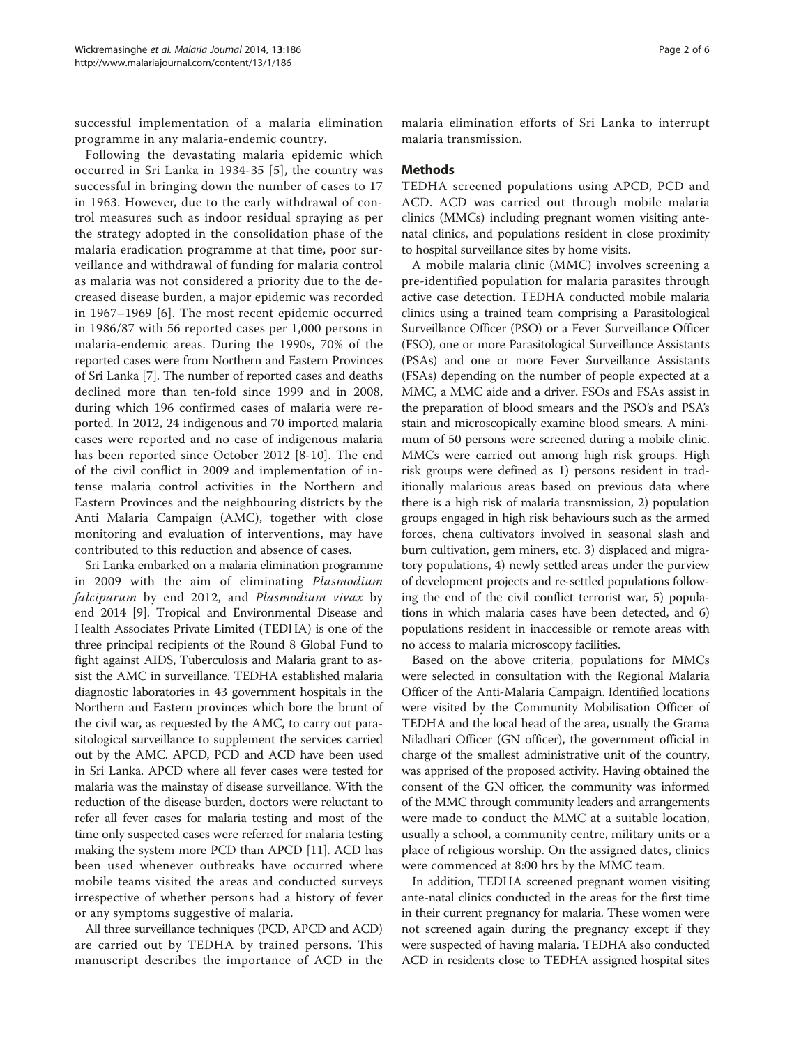successful implementation of a malaria elimination programme in any malaria-endemic country.

Following the devastating malaria epidemic which occurred in Sri Lanka in 1934-35 [\[5](#page-5-0)], the country was successful in bringing down the number of cases to 17 in 1963. However, due to the early withdrawal of control measures such as indoor residual spraying as per the strategy adopted in the consolidation phase of the malaria eradication programme at that time, poor surveillance and withdrawal of funding for malaria control as malaria was not considered a priority due to the decreased disease burden, a major epidemic was recorded in 1967–1969 [[6](#page-5-0)]. The most recent epidemic occurred in 1986/87 with 56 reported cases per 1,000 persons in malaria-endemic areas. During the 1990s, 70% of the reported cases were from Northern and Eastern Provinces of Sri Lanka [\[7](#page-5-0)]. The number of reported cases and deaths declined more than ten-fold since 1999 and in 2008, during which 196 confirmed cases of malaria were reported. In 2012, 24 indigenous and 70 imported malaria cases were reported and no case of indigenous malaria has been reported since October 2012 [\[8](#page-5-0)-[10\]](#page-5-0). The end of the civil conflict in 2009 and implementation of intense malaria control activities in the Northern and Eastern Provinces and the neighbouring districts by the Anti Malaria Campaign (AMC), together with close monitoring and evaluation of interventions, may have contributed to this reduction and absence of cases.

Sri Lanka embarked on a malaria elimination programme in 2009 with the aim of eliminating Plasmodium falciparum by end 2012, and Plasmodium vivax by end 2014 [[9](#page-5-0)]. Tropical and Environmental Disease and Health Associates Private Limited (TEDHA) is one of the three principal recipients of the Round 8 Global Fund to fight against AIDS, Tuberculosis and Malaria grant to assist the AMC in surveillance. TEDHA established malaria diagnostic laboratories in 43 government hospitals in the Northern and Eastern provinces which bore the brunt of the civil war, as requested by the AMC, to carry out parasitological surveillance to supplement the services carried out by the AMC. APCD, PCD and ACD have been used in Sri Lanka. APCD where all fever cases were tested for malaria was the mainstay of disease surveillance. With the reduction of the disease burden, doctors were reluctant to refer all fever cases for malaria testing and most of the time only suspected cases were referred for malaria testing making the system more PCD than APCD [[11](#page-5-0)]. ACD has been used whenever outbreaks have occurred where mobile teams visited the areas and conducted surveys irrespective of whether persons had a history of fever or any symptoms suggestive of malaria.

All three surveillance techniques (PCD, APCD and ACD) are carried out by TEDHA by trained persons. This manuscript describes the importance of ACD in the malaria elimination efforts of Sri Lanka to interrupt malaria transmission.

## **Methods**

TEDHA screened populations using APCD, PCD and ACD. ACD was carried out through mobile malaria clinics (MMCs) including pregnant women visiting antenatal clinics, and populations resident in close proximity to hospital surveillance sites by home visits.

A mobile malaria clinic (MMC) involves screening a pre-identified population for malaria parasites through active case detection. TEDHA conducted mobile malaria clinics using a trained team comprising a Parasitological Surveillance Officer (PSO) or a Fever Surveillance Officer (FSO), one or more Parasitological Surveillance Assistants (PSAs) and one or more Fever Surveillance Assistants (FSAs) depending on the number of people expected at a MMC, a MMC aide and a driver. FSOs and FSAs assist in the preparation of blood smears and the PSO's and PSA's stain and microscopically examine blood smears. A minimum of 50 persons were screened during a mobile clinic. MMCs were carried out among high risk groups. High risk groups were defined as 1) persons resident in traditionally malarious areas based on previous data where there is a high risk of malaria transmission, 2) population groups engaged in high risk behaviours such as the armed forces, chena cultivators involved in seasonal slash and burn cultivation, gem miners, etc. 3) displaced and migratory populations, 4) newly settled areas under the purview of development projects and re-settled populations following the end of the civil conflict terrorist war, 5) populations in which malaria cases have been detected, and 6) populations resident in inaccessible or remote areas with no access to malaria microscopy facilities.

Based on the above criteria, populations for MMCs were selected in consultation with the Regional Malaria Officer of the Anti-Malaria Campaign. Identified locations were visited by the Community Mobilisation Officer of TEDHA and the local head of the area, usually the Grama Niladhari Officer (GN officer), the government official in charge of the smallest administrative unit of the country, was apprised of the proposed activity. Having obtained the consent of the GN officer, the community was informed of the MMC through community leaders and arrangements were made to conduct the MMC at a suitable location, usually a school, a community centre, military units or a place of religious worship. On the assigned dates, clinics were commenced at 8:00 hrs by the MMC team.

In addition, TEDHA screened pregnant women visiting ante-natal clinics conducted in the areas for the first time in their current pregnancy for malaria. These women were not screened again during the pregnancy except if they were suspected of having malaria. TEDHA also conducted ACD in residents close to TEDHA assigned hospital sites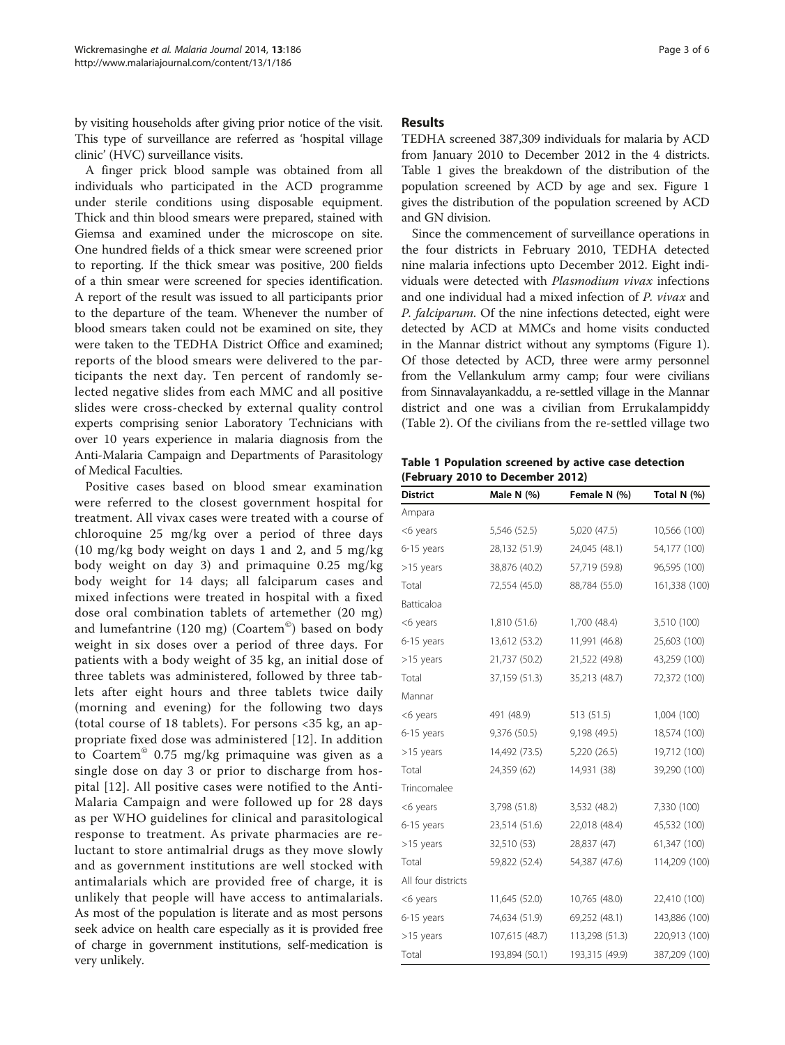by visiting households after giving prior notice of the visit. This type of surveillance are referred as 'hospital village clinic' (HVC) surveillance visits.

A finger prick blood sample was obtained from all individuals who participated in the ACD programme under sterile conditions using disposable equipment. Thick and thin blood smears were prepared, stained with Giemsa and examined under the microscope on site. One hundred fields of a thick smear were screened prior to reporting. If the thick smear was positive, 200 fields of a thin smear were screened for species identification. A report of the result was issued to all participants prior to the departure of the team. Whenever the number of blood smears taken could not be examined on site, they were taken to the TEDHA District Office and examined; reports of the blood smears were delivered to the participants the next day. Ten percent of randomly selected negative slides from each MMC and all positive slides were cross-checked by external quality control experts comprising senior Laboratory Technicians with over 10 years experience in malaria diagnosis from the Anti-Malaria Campaign and Departments of Parasitology of Medical Faculties.

Positive cases based on blood smear examination were referred to the closest government hospital for treatment. All vivax cases were treated with a course of chloroquine 25 mg/kg over a period of three days (10 mg/kg body weight on days 1 and 2, and 5 mg/kg body weight on day 3) and primaquine 0.25 mg/kg body weight for 14 days; all falciparum cases and mixed infections were treated in hospital with a fixed dose oral combination tablets of artemether (20 mg) and lumefantrine (120 mg) (Coartem<sup>®</sup>) based on body weight in six doses over a period of three days. For patients with a body weight of 35 kg, an initial dose of three tablets was administered, followed by three tablets after eight hours and three tablets twice daily (morning and evening) for the following two days (total course of 18 tablets). For persons <35 kg, an appropriate fixed dose was administered [[12\]](#page-5-0). In addition to Coartem© 0.75 mg/kg primaquine was given as a single dose on day 3 or prior to discharge from hospital [\[12\]](#page-5-0). All positive cases were notified to the Anti-Malaria Campaign and were followed up for 28 days as per WHO guidelines for clinical and parasitological response to treatment. As private pharmacies are reluctant to store antimalrial drugs as they move slowly and as government institutions are well stocked with antimalarials which are provided free of charge, it is unlikely that people will have access to antimalarials. As most of the population is literate and as most persons seek advice on health care especially as it is provided free of charge in government institutions, self-medication is very unlikely.

## Results

TEDHA screened 387,309 individuals for malaria by ACD from January 2010 to December 2012 in the 4 districts. Table 1 gives the breakdown of the distribution of the population screened by ACD by age and sex. Figure [1](#page-3-0) gives the distribution of the population screened by ACD and GN division.

Since the commencement of surveillance operations in the four districts in February 2010, TEDHA detected nine malaria infections upto December 2012. Eight individuals were detected with Plasmodium vivax infections and one individual had a mixed infection of P. vivax and P. falciparum. Of the nine infections detected, eight were detected by ACD at MMCs and home visits conducted in the Mannar district without any symptoms (Figure [1](#page-3-0)). Of those detected by ACD, three were army personnel from the Vellankulum army camp; four were civilians from Sinnavalayankaddu, a re-settled village in the Mannar district and one was a civilian from Errukalampiddy (Table [2](#page-4-0)). Of the civilians from the re-settled village two

Table 1 Population screened by active case detection (February 2010 to December 2012)

| <b>District</b>    | Male N $(%)$   | Female N (%)   | Total N (%)   |  |
|--------------------|----------------|----------------|---------------|--|
| Ampara             |                |                |               |  |
| <6 years           | 5,546 (52.5)   | 5,020 (47.5)   | 10,566 (100)  |  |
| 6-15 years         | 28,132 (51.9)  | 24,045 (48.1)  | 54,177 (100)  |  |
| >15 years          | 38,876 (40.2)  | 57,719 (59.8)  | 96,595 (100)  |  |
| Total              | 72,554 (45.0)  | 88,784 (55.0)  | 161,338 (100) |  |
| Batticaloa         |                |                |               |  |
| <6 years           | 1,810 (51.6)   | 1,700 (48.4)   | 3,510 (100)   |  |
| 6-15 years         | 13,612 (53.2)  | 11,991 (46.8)  | 25,603 (100)  |  |
| >15 years          | 21,737 (50.2)  | 21,522 (49.8)  | 43,259 (100)  |  |
| Total              | 37,159 (51.3)  | 35,213 (48.7)  | 72,372 (100)  |  |
| Mannar             |                |                |               |  |
| <6 years           | 491 (48.9)     | 513 (51.5)     | 1,004 (100)   |  |
| 6-15 years         | 9,376 (50.5)   | 9,198 (49.5)   | 18,574 (100)  |  |
| >15 years          | 14,492 (73.5)  | 5,220 (26.5)   | 19,712 (100)  |  |
| Total              | 24,359 (62)    | 14,931 (38)    | 39,290 (100)  |  |
| Trincomalee        |                |                |               |  |
| <6 years           | 3,798 (51.8)   | 3,532 (48.2)   | 7,330 (100)   |  |
| 6-15 years         | 23,514 (51.6)  | 22,018 (48.4)  | 45,532 (100)  |  |
| $>15$ years        | 32,510 (53)    | 28,837 (47)    | 61,347 (100)  |  |
| Total              | 59,822 (52.4)  | 54,387 (47.6)  | 114,209 (100) |  |
| All four districts |                |                |               |  |
| <6 years           | 11,645 (52.0)  | 10,765 (48.0)  | 22,410 (100)  |  |
| 6-15 years         | 74,634 (51.9)  | 69,252 (48.1)  | 143,886 (100) |  |
| >15 years          | 107,615 (48.7) | 113,298 (51.3) | 220,913 (100) |  |
| Total              | 193,894 (50.1) | 193,315 (49.9) | 387,209 (100) |  |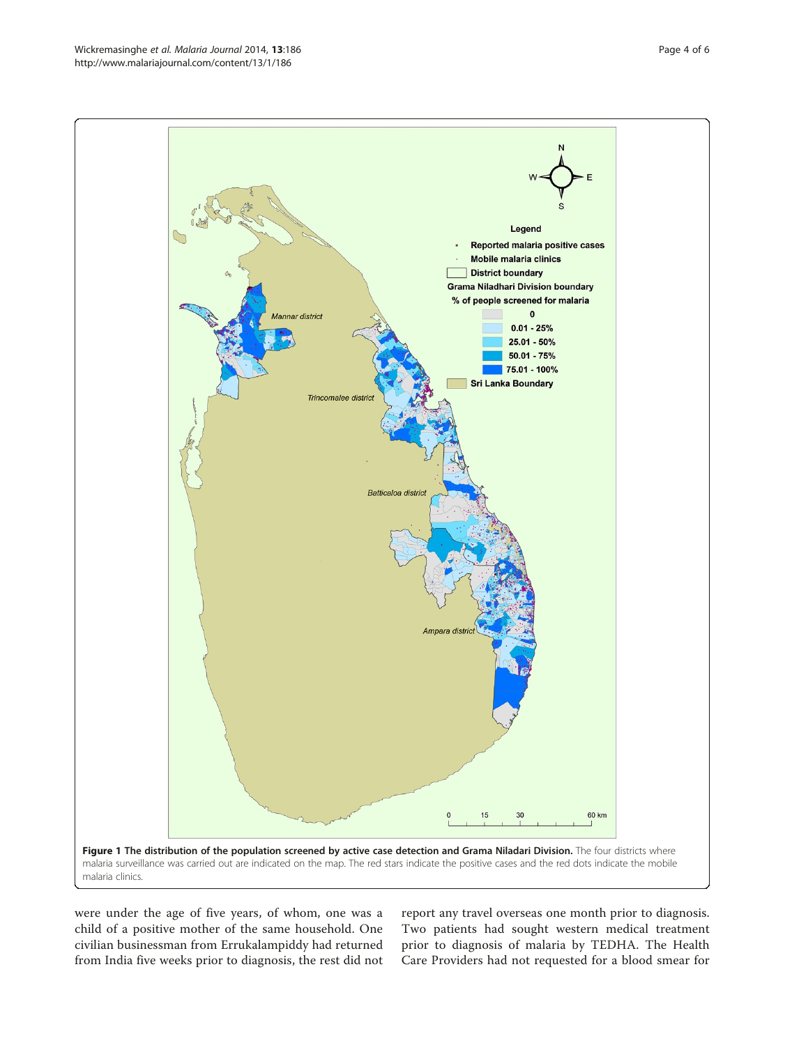<span id="page-3-0"></span>

were under the age of five years, of whom, one was a child of a positive mother of the same household. One civilian businessman from Errukalampiddy had returned from India five weeks prior to diagnosis, the rest did not report any travel overseas one month prior to diagnosis. Two patients had sought western medical treatment prior to diagnosis of malaria by TEDHA. The Health Care Providers had not requested for a blood smear for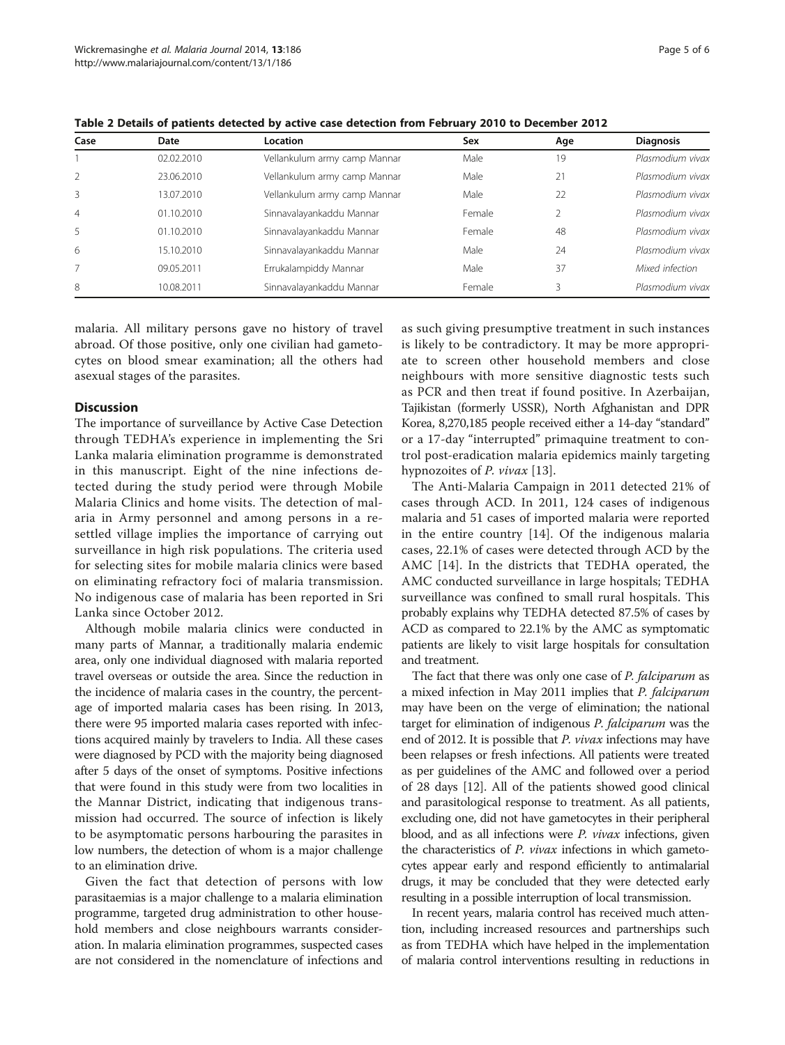| Case           | Date       | Location                     | Sex    | Age | <b>Diagnosis</b> |
|----------------|------------|------------------------------|--------|-----|------------------|
|                | 02.02.2010 | Vellankulum army camp Mannar | Male   | 19  | Plasmodium vivax |
| $\overline{2}$ | 23.06.2010 | Vellankulum army camp Mannar | Male   |     | Plasmodium vivax |
| 3              | 13.07.2010 | Vellankulum army camp Mannar | Male   | 22  | Plasmodium vivax |
| $\overline{4}$ | 01.10.2010 | Sinnavalayankaddu Mannar     | Female |     | Plasmodium vivax |
| 5.             | 01.10.2010 | Sinnavalayankaddu Mannar     | Female | 48  | Plasmodium vivax |
| 6              | 15.10.2010 | Sinnavalayankaddu Mannar     | Male   | 24  | Plasmodium vivax |
|                | 09.05.2011 | Errukalampiddy Mannar        | Male   | 37  | Mixed infection  |
| 8              | 10.08.2011 | Sinnavalayankaddu Mannar     | Female |     | Plasmodium vivax |

<span id="page-4-0"></span>Table 2 Details of patients detected by active case detection from February 2010 to December 2012

malaria. All military persons gave no history of travel abroad. Of those positive, only one civilian had gametocytes on blood smear examination; all the others had asexual stages of the parasites.

### **Discussion**

The importance of surveillance by Active Case Detection through TEDHA's experience in implementing the Sri Lanka malaria elimination programme is demonstrated in this manuscript. Eight of the nine infections detected during the study period were through Mobile Malaria Clinics and home visits. The detection of malaria in Army personnel and among persons in a resettled village implies the importance of carrying out surveillance in high risk populations. The criteria used for selecting sites for mobile malaria clinics were based on eliminating refractory foci of malaria transmission. No indigenous case of malaria has been reported in Sri Lanka since October 2012.

Although mobile malaria clinics were conducted in many parts of Mannar, a traditionally malaria endemic area, only one individual diagnosed with malaria reported travel overseas or outside the area. Since the reduction in the incidence of malaria cases in the country, the percentage of imported malaria cases has been rising. In 2013, there were 95 imported malaria cases reported with infections acquired mainly by travelers to India. All these cases were diagnosed by PCD with the majority being diagnosed after 5 days of the onset of symptoms. Positive infections that were found in this study were from two localities in the Mannar District, indicating that indigenous transmission had occurred. The source of infection is likely to be asymptomatic persons harbouring the parasites in low numbers, the detection of whom is a major challenge to an elimination drive.

Given the fact that detection of persons with low parasitaemias is a major challenge to a malaria elimination programme, targeted drug administration to other household members and close neighbours warrants consideration. In malaria elimination programmes, suspected cases are not considered in the nomenclature of infections and as such giving presumptive treatment in such instances is likely to be contradictory. It may be more appropriate to screen other household members and close neighbours with more sensitive diagnostic tests such as PCR and then treat if found positive. In Azerbaijan, Tajikistan (formerly USSR), North Afghanistan and DPR Korea, 8,270,185 people received either a 14-day "standard" or a 17-day "interrupted" primaquine treatment to control post-eradication malaria epidemics mainly targeting hypnozoites of *P. vivax* [[13\]](#page-5-0).

The Anti-Malaria Campaign in 2011 detected 21% of cases through ACD. In 2011, 124 cases of indigenous malaria and 51 cases of imported malaria were reported in the entire country [\[14](#page-5-0)]. Of the indigenous malaria cases, 22.1% of cases were detected through ACD by the AMC [\[14](#page-5-0)]. In the districts that TEDHA operated, the AMC conducted surveillance in large hospitals; TEDHA surveillance was confined to small rural hospitals. This probably explains why TEDHA detected 87.5% of cases by ACD as compared to 22.1% by the AMC as symptomatic patients are likely to visit large hospitals for consultation and treatment.

The fact that there was only one case of P. falciparum as a mixed infection in May 2011 implies that P. falciparum may have been on the verge of elimination; the national target for elimination of indigenous P. falciparum was the end of 2012. It is possible that P. vivax infections may have been relapses or fresh infections. All patients were treated as per guidelines of the AMC and followed over a period of 28 days [\[12](#page-5-0)]. All of the patients showed good clinical and parasitological response to treatment. As all patients, excluding one, did not have gametocytes in their peripheral blood, and as all infections were  $P$ . *vivax* infections, given the characteristics of P. vivax infections in which gametocytes appear early and respond efficiently to antimalarial drugs, it may be concluded that they were detected early resulting in a possible interruption of local transmission.

In recent years, malaria control has received much attention, including increased resources and partnerships such as from TEDHA which have helped in the implementation of malaria control interventions resulting in reductions in